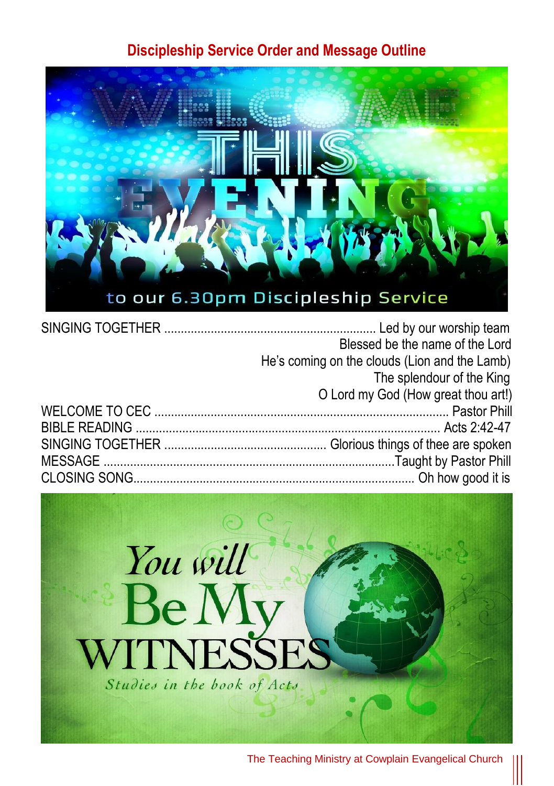## **Discipleship Service Order and Message Outline**



| Blessed be the name of the Lord               |
|-----------------------------------------------|
| He's coming on the clouds (Lion and the Lamb) |
| The splendour of the King                     |
| O Lord my God (How great thou art!)           |
|                                               |
|                                               |
|                                               |
|                                               |
|                                               |

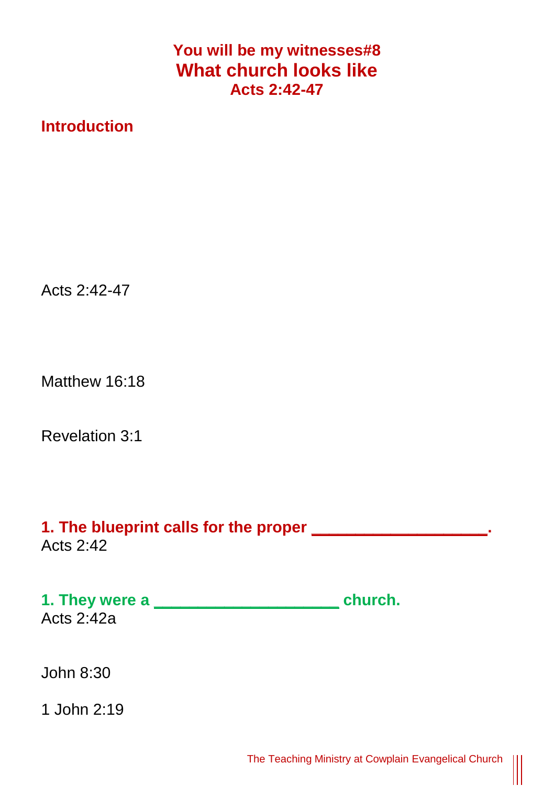## **You will be my witnesses#8 What church looks like Acts 2:42-47**

## **Introduction**

Acts 2:42-47

Matthew 16:18

Revelation 3:1

**1. The blueprint calls for the proper \_\_\_\_\_\_\_\_\_\_\_\_\_\_\_\_\_\_\_\_.**  Acts  $2.42$ 

**1. They were a \_\_\_\_\_\_\_\_\_\_\_\_\_\_\_\_\_\_\_\_\_ church.**  Acts 2:42a

John 8:30

1 John 2:19

 $\begin{matrix} \vspace{0.1cm} \vspace{0.1cm} \vspace{0.1cm} \vspace{0.1cm} \vspace{0.1cm} \vspace{0.1cm} \vspace{0.1cm} \vspace{0.1cm} \vspace{0.1cm} \vspace{0.1cm} \vspace{0.1cm} \vspace{0.1cm} \vspace{0.1cm} \vspace{0.1cm} \vspace{0.1cm} \vspace{0.1cm} \vspace{0.1cm} \vspace{0.1cm} \vspace{0.1cm} \vspace{0.1cm} \vspace{0.1cm} \vspace{0.1cm} \vspace{0.1cm} \vspace{0.1cm$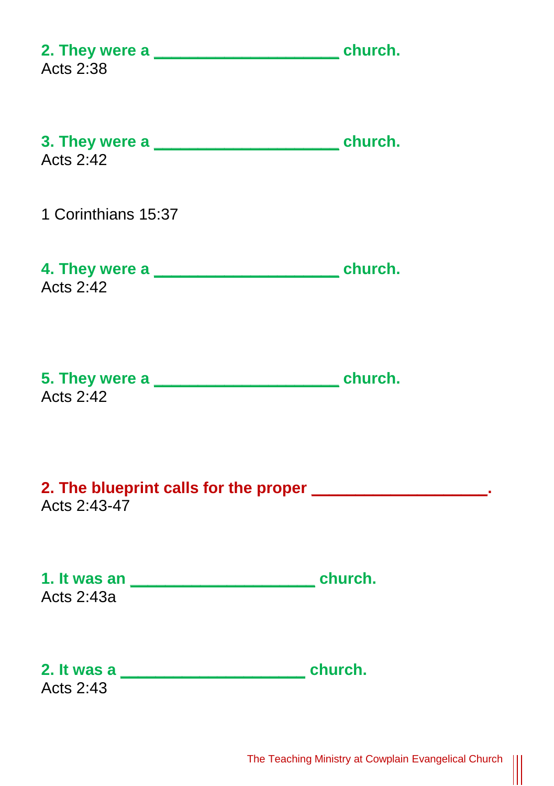| 2. They were a service of the church.<br>Acts 2:38                            |  |
|-------------------------------------------------------------------------------|--|
| Acts 2:42                                                                     |  |
| 1 Corinthians 15:37                                                           |  |
| 4. They were a service and the church.<br><b>Acts 2:42</b>                    |  |
| Acts 2:42                                                                     |  |
| 2. The blueprint calls for the proper ______________________.<br>Acts 2:43-47 |  |
| Acts 2:43a                                                                    |  |
| Acts 2:43                                                                     |  |